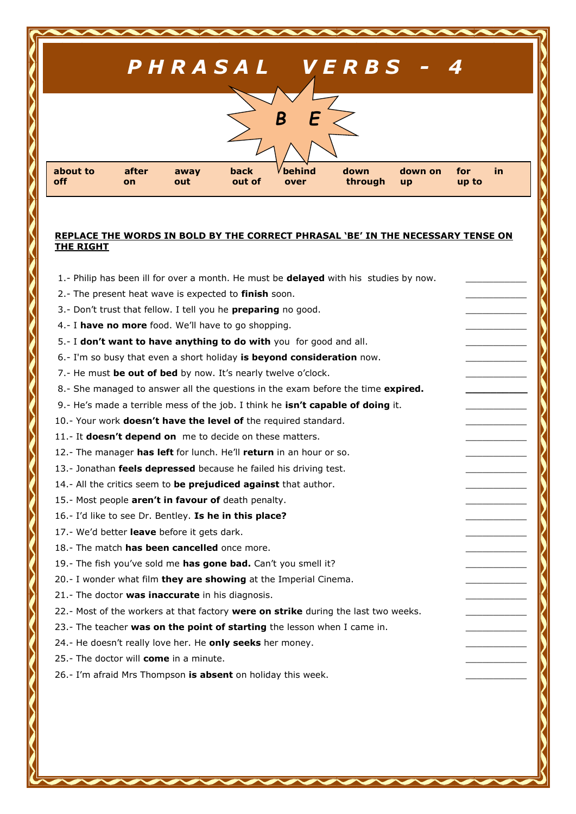| PHRASAL VERBS - 4                                                                                                                                          |  |
|------------------------------------------------------------------------------------------------------------------------------------------------------------|--|
| B<br>F                                                                                                                                                     |  |
| behind<br>in.<br>about to<br>after<br>down<br>back<br>down on<br>for<br>away<br>through<br>off<br>out of<br>out<br>up to<br>over<br><b>up</b><br><b>on</b> |  |

## **REPLACE THE WORDS IN BOLD BY THE CORRECT PHRASAL 'BE' IN THE NECESSARY TENSE ON THE RIGHT**

1.- Philip has been ill for over a month. He must be **delayed** with his studies by now.

- 2.- The present heat wave is expected to finish soon.
- 3.- Don't trust that fellow. I tell you he **preparing** no good.
- 4.- I have no more food. We'll have to go shopping.
- 5.- I **don't want to have anything to do with** you for good and all.
- 6.- I'm so busy that even a short holiday **is beyond consideration** now. \_\_\_\_\_\_\_\_\_\_\_
- 7.- He must **be out of bed** by now. It's nearly twelve o'clock.
- 8.- She managed to answer all the questions in the exam before the time **expired.**
- 9.- He's made a terrible mess of the job. I think he isn't capable of doing it.
- 10.- Your work **doesn't have the level of** the required standard. \_\_\_\_\_\_\_\_\_\_\_
- 11.- It **doesn't depend on** me to decide on these matters.
- 12.- The manager has left for lunch. He'll return in an hour or so.
- 13.- Jonathan **feels depressed** because he failed his driving test.
- 14.- All the critics seem to **be prejudiced against** that author.
- 15.- Most people **aren't in favour of** death penalty.
- 16.- I'd like to see Dr. Bentley. **Is he in this place?** \_\_\_\_\_\_\_\_\_\_\_
- 17.- We'd better **leave** before it gets dark.
- 18.- The match **has been cancelled** once more.
- 19.- The fish you've sold me has gone bad. Can't you smell it?
- 20.- I wonder what film **they are showing** at the Imperial Cinema.
- 21.- The doctor **was inaccurate** in his diagnosis.
- 22.- Most of the workers at that factory were on strike during the last two weeks.
- 23.- The teacher was on the point of starting the lesson when I came in.
- 24.- He doesn't really love her. He **only seeks** her money.
- 25.- The doctor will **come** in a minute.
- 26.- I'm afraid Mrs Thompson is absent on holiday this week.